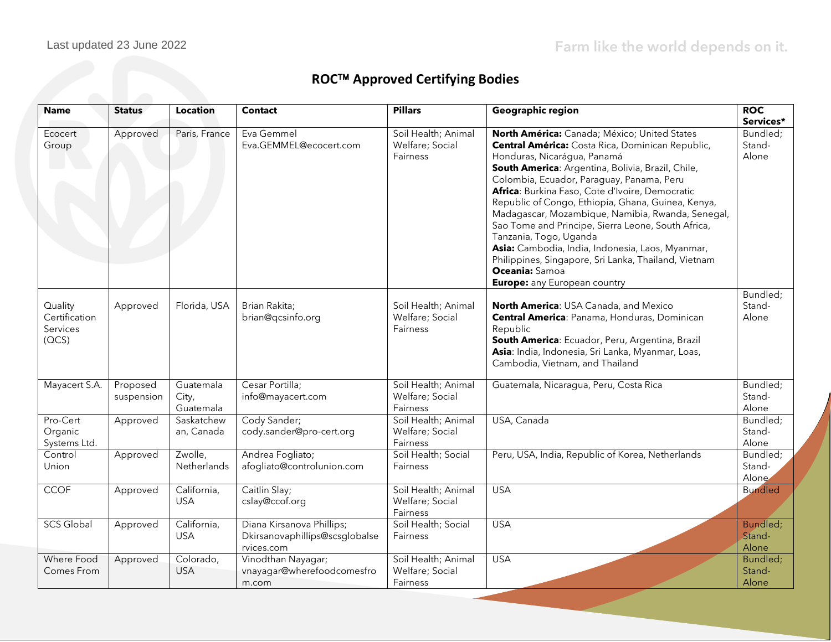## **ROC™ Approved Certifying Bodies**

| <b>Name</b>                                   | <b>Status</b>          | <b>Location</b>                 | <b>Contact</b>                                                            | <b>Pillars</b>                                            | Geographic region                                                                                                                                                                                                                                                                                                                                                                                                                                                                                                                                                                                                                                    | <b>ROC</b><br>Services*     |
|-----------------------------------------------|------------------------|---------------------------------|---------------------------------------------------------------------------|-----------------------------------------------------------|------------------------------------------------------------------------------------------------------------------------------------------------------------------------------------------------------------------------------------------------------------------------------------------------------------------------------------------------------------------------------------------------------------------------------------------------------------------------------------------------------------------------------------------------------------------------------------------------------------------------------------------------------|-----------------------------|
| Ecocert<br>Group                              | Approved               | Paris, France                   | Eva Gemmel<br>Eva.GEMMEL@ecocert.com                                      | Soil Health; Animal<br>Welfare; Social<br>Fairness        | North América: Canada; México; United States<br>Central América: Costa Rica, Dominican Republic,<br>Honduras, Nicarágua, Panamá<br>South America: Argentina, Bolivia, Brazil, Chile,<br>Colombia, Ecuador, Paraguay, Panama, Peru<br>Africa: Burkina Faso, Cote d'Ivoire, Democratic<br>Republic of Congo, Ethiopia, Ghana, Guinea, Kenya,<br>Madagascar, Mozambique, Namibia, Rwanda, Senegal,<br>Sao Tome and Principe, Sierra Leone, South Africa,<br>Tanzania, Togo, Uganda<br>Asia: Cambodia, India, Indonesia, Laos, Myanmar,<br>Philippines, Singapore, Sri Lanka, Thailand, Vietnam<br>Oceania: Samoa<br><b>Europe:</b> any European country | Bundled;<br>Stand-<br>Alone |
| Quality<br>Certification<br>Services<br>(QCS) | Approved               | Florida, USA                    | Brian Rakita;<br>brian@qcsinfo.org                                        | Soil Health; Animal<br>Welfare; Social<br><b>Fairness</b> | <b>North America: USA Canada, and Mexico</b><br>Central America: Panama, Honduras, Dominican<br>Republic<br>South America: Ecuador, Peru, Argentina, Brazil<br>Asia: India, Indonesia, Sri Lanka, Myanmar, Loas,<br>Cambodia, Vietnam, and Thailand                                                                                                                                                                                                                                                                                                                                                                                                  | Bundled;<br>Stand-<br>Alone |
| Mayacert S.A.                                 | Proposed<br>suspension | Guatemala<br>City,<br>Guatemala | Cesar Portilla;<br>info@mayacert.com                                      | Soil Health; Animal<br>Welfare; Social<br>Fairness        | Guatemala, Nicaragua, Peru, Costa Rica                                                                                                                                                                                                                                                                                                                                                                                                                                                                                                                                                                                                               | Bundled;<br>Stand-<br>Alone |
| Pro-Cert<br>Organic<br>Systems Ltd.           | Approved               | Saskatchew<br>an, Canada        | Cody Sander;<br>cody.sander@pro-cert.org                                  | Soil Health; Animal<br>Welfare; Social<br>Fairness        | USA, Canada                                                                                                                                                                                                                                                                                                                                                                                                                                                                                                                                                                                                                                          | Bundled;<br>Stand-<br>Alone |
| Control<br>Union                              | Approved               | Zwolle,<br>Netherlands          | Andrea Fogliato;<br>afogliato@controlunion.com                            | Soil Health; Social<br>Fairness                           | Peru, USA, India, Republic of Korea, Netherlands                                                                                                                                                                                                                                                                                                                                                                                                                                                                                                                                                                                                     | Bundled;<br>Stand-<br>Alone |
| <b>CCOF</b>                                   | Approved               | California,<br><b>USA</b>       | Caitlin Slay;<br>cslay@ccof.org                                           | Soil Health; Animal<br>Welfare; Social<br>Fairness        | <b>USA</b>                                                                                                                                                                                                                                                                                                                                                                                                                                                                                                                                                                                                                                           | <b>Bundled</b>              |
| <b>SCS Global</b>                             | Approved               | California,<br><b>USA</b>       | Diana Kirsanova Phillips;<br>Dkirsanovaphillips@scsglobalse<br>rvices.com | Soil Health; Social<br>Fairness                           | <b>USA</b>                                                                                                                                                                                                                                                                                                                                                                                                                                                                                                                                                                                                                                           | Bundled;<br>Stand-<br>Alone |
| <b>Where Food</b><br>Comes From               | Approved               | Colorado,<br><b>USA</b>         | Vinodthan Nayagar;<br>vnayagar@wherefoodcomesfro<br>m.com                 | Soil Health; Animal<br>Welfare; Social<br>Fairness        | <b>USA</b>                                                                                                                                                                                                                                                                                                                                                                                                                                                                                                                                                                                                                                           | Bundled;<br>Stand-<br>Alone |

regenorganic.org/second-control to the control of the control of the control of the control of the control of the control of the control of the control of the control of the control of the control of the control of the con